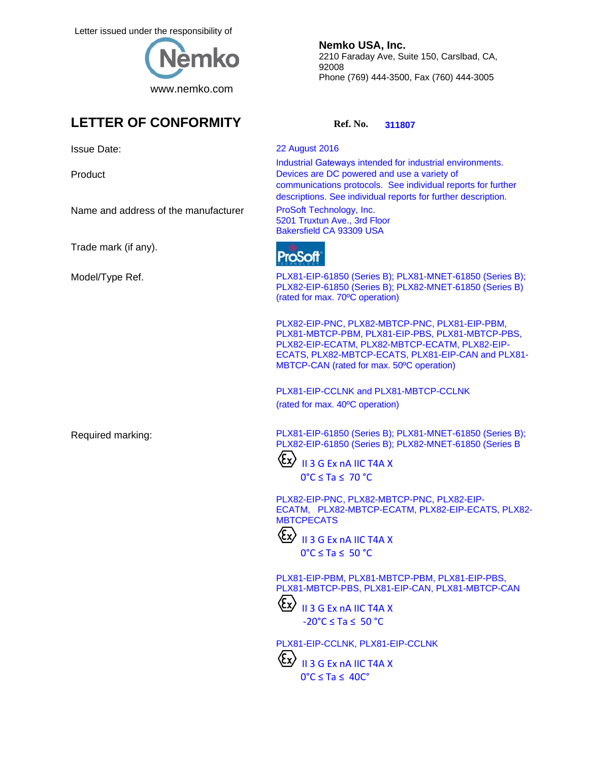Letter issued under the responsibility of



LETTER OF CONFORMITY Ref. No. 311807

**Nemko USA, Inc.** 2210 Faraday Ave, Suite 150, Carslbad, CA, 92008 Phone (769) 444-3500, Fax (760) 444-3005

22 August 2016

Industrial Gateways intended for industrial environments. Devices are DC powered and use a variety of communications protocols. See individual reports for further descriptions. See individual reports for further description.

ProSoft Technology, Inc. 5201 Truxtun Ave., 3rd Floor Bakersfield CA 93309 USA



Model/Type Ref. **PLX81-EIP-61850 (Series B)**; PLX81-MNET-61850 (Series B); PLX81-MNET-61850 (Series B); PLX82-EIP-61850 (Series B); PLX82-MNET-61850 (Series B) (rated for max. 70ºC operation)

> PLX82-EIP-PNC, PLX82-MBTCP-PNC, PLX81-EIP-PBM, PLX81-MBTCP-PBM, PLX81-EIP-PBS, PLX81-MBTCP-PBS, PLX82-EIP-ECATM, PLX82-MBTCP-ECATM, PLX82-EIP-ECATS, PLX82-MBTCP-ECATS, PLX81-EIP-CAN and PLX81- MBTCP-CAN (rated for max. 50ºC operation)

PLX81-EIP-CCLNK and PLX81-MBTCP-CCLNK (rated for max. 40ºC operation)

Required marking: PLX81-EIP-61850 (Series B); PLX81-MNET-61850 (Series B); PLX82-EIP-61850 (Series B); PLX82-MNET-61850 (Series B



 0°C ≤ Ta ≤ 70 °C PLX82-EIP-PNC, PLX82-MBTCP-PNC, PLX82-EIP-

ECATM, PLX82-MBTCP-ECATM, PLX82-EIP-ECATS, PLX82- **MBTCPECATS** 



PLX81-EIP-PBM, PLX81-MBTCP-PBM, PLX81-EIP-PBS, PLX81-MBTCP-PBS, PLX81-EIP-CAN, PLX81-MBTCP-CAN



 II 3 G Ex nA IIC T4A X  $-20^{\circ}$ C  $\leq$  Ta  $\leq$  50  $^{\circ}$ C

PLX81-EIP-CCLNK, PLX81-EIP-CCLNK

 $\langle \xi_{x} \rangle$  II 3 G Ex nA IIC T4A X  $0^{\circ}$ C  $\leq$  Ta  $\leq$  40C°

Issue Date:

Product

Name and address of the manufacturer

Trade mark (if any).